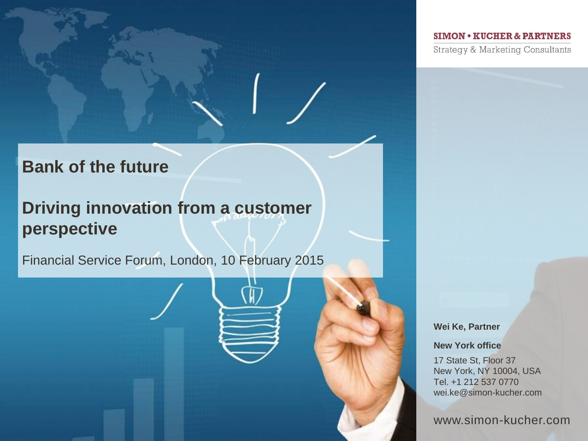#### **SIMON • KUCHER & PARTNERS**

**Strategy & Marketing Consultants** 

# **Bank of the future**

# **Driving innovation from a customer perspective**

Financial Service Forum, London, 10 February 2015

#### **Wei Ke, Partner**

**New York office**

17 State St, Floor 37 New York, NY 10004, USA Tel. +1 212 537 0770 wei.ke@simon-kucher.com

www.simon-kucher.com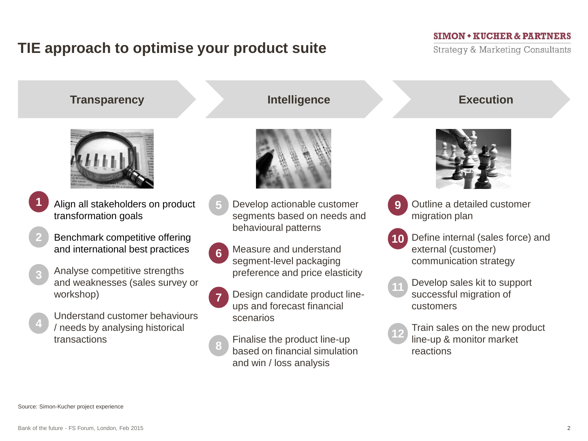# **TIE approach to optimise your product suite**

#### **SIMON • KUCHER & PARTNERS**

Strategy & Marketing Consultants





- **1**
- Align all stakeholders on product transformation goals
- Benchmark competitive offering and international best practices **2**
- **3**
- Analyse competitive strengths and weaknesses (sales survey or workshop)
- **4**
- Understand customer behaviours / needs by analysing historical transactions

# **Transparency Intelligence Execution**



- Develop actionable customer segments based on needs and behavioural patterns **5**
- Measure and understand segment-level packaging preference and price elasticity **6**
- **7**

**8**

- Design candidate product lineups and forecast financial scenarios
- Finalise the product line-up based on financial simulation and win / loss analysis



- **9**
	- Outline a detailed customer migration plan
- Define internal (sales force) and external (customer) communication strategy **10**
- Develop sales kit to support successful migration of **11**

**12**

customers

Train sales on the new product line-up & monitor market reactions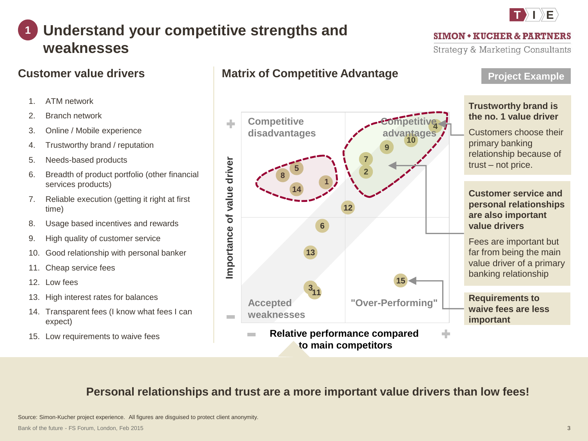# **T I E**

**SIMON + KUCHER & PARTNERS** Strategy & Marketing Consultants

### **Understand your competitive strengths and weaknesses 1**

# **Customer value drivers**

- 1. ATM network
- 2. Branch network
- 3. Online / Mobile experience
- 4. Trustworthy brand / reputation
- 5. Needs-based products
- 6. Breadth of product portfolio (other financial services products)
- 7. Reliable execution (getting it right at first time)
- 8. Usage based incentives and rewards
- 9. High quality of customer service
- 10. Good relationship with personal banker
- 11. Cheap service fees
- 12. Low fees
- 13. High interest rates for balances
- 14. Transparent fees (I know what fees I can expect)
- 15. Low requirements to waive fees

# **Matrix of Competitive Advantage**

**5**

**14**

**8**

**Accepted weaknesses**

 $\sim$ 

**Importance of value driver**

mportance of value driver

d.

**Competitive** 



**15**

**"Over-Performing"**

Fees are important but far from being the main value driver of a primary banking relationship

**Requirements to waive fees are less important**

# **Personal relationships and trust are a more important value drivers than low fees!**

**3**

**13**

**11**

**Relative performance compared to main competitors**

Source: Simon-Kucher project experience. All figures are disguised to protect client anonymity.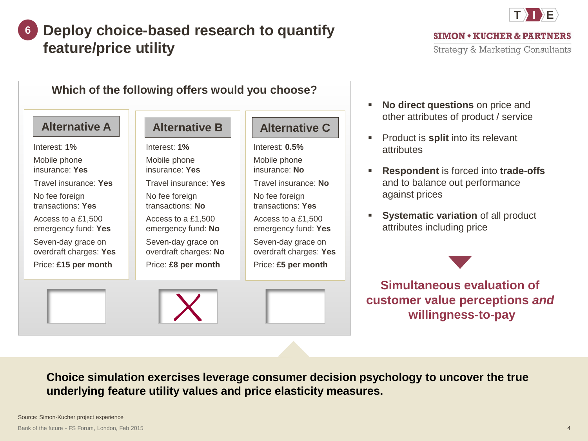### **Deploy choice-based research to quantify feature/price utility 6**



 $SIMON * KUCHER & PARTNERS$ Strategy & Marketing Consultants



- **No direct questions** on price and other attributes of product / service
- **Product is split into its relevant** attributes
- **Respondent** is forced into **trade-offs**  and to balance out performance against prices
- **Systematic variation of all product** attributes including price

**Simultaneous evaluation of customer value perceptions** *and* **willingness-to-pay**

**Choice simulation exercises leverage consumer decision psychology to uncover the true underlying feature utility values and price elasticity measures.**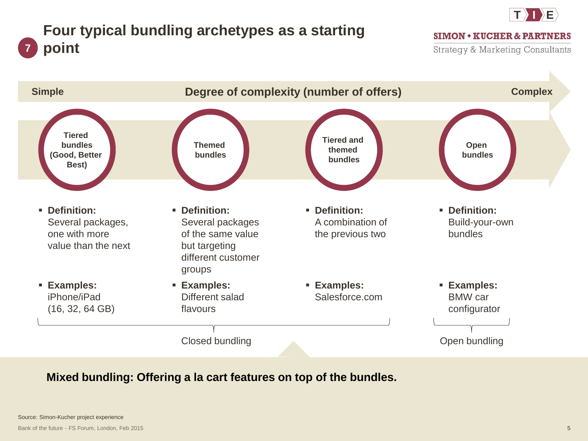

# **Four typical bundling archetypes as a starting point**

**SIMON • KUCHER & PARTNERS** 

Strategy & Marketing Consultants



# **Mixed bundling: Offering a la cart features on top of the bundles.**

**7**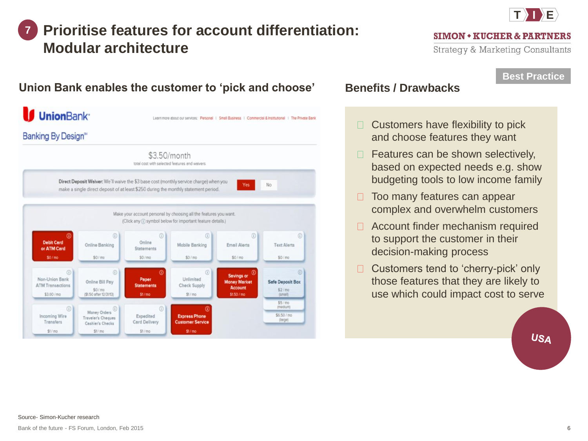### **Prioritise features for account differentiation: Modular architecture 7**



#### **SIMON + KUCHER & PARTNERS**

Strategy & Marketing Consultants

### **Best Practice**

#### **UnionBank** Learn more about our services: Personal | Small Business | Commercial & Institutional | The Private Bank Banking By Design<sup>®</sup> \$3.50/month total cost with selected features and waivers Direct Deposit Waiver: We'll waive the \$3 base cost (monthly service charge) when you No make a single direct deposit of at least \$250 during the monthly statement period. Make your account personal by choosing all the features you want. (Click any (i) symbol below for important feature details.)  $\circledcirc$  $\circ$  $\circledcirc$  $\circledR$ 0 **Debit Card** Online **Online Banking** Mobile Banking Email Alerts **Text Alerts** or ATM Card Statements  $$0/m<sub>0</sub>$  $$0/m0$  $$0/m0$  $$0/m0$  $$0/m0$  $\circledR$  $\circled{0}$ **Savings or** Non-Union Bank Unlimited Paper Online Bill Pay **Money Market Safe Deposit Box ATM Transactions Statements Check Supply** Account  $$0/m<sub>0</sub>$  $$2/m<sub>0</sub>$ (\$1.50 after 12/31/13) \$3.00 / mo  $$1/m<sub>0</sub>$  $$1/m<sub>o</sub>$ \$1.50 / mo (small)  $$5/m0$ *imediuml* Money Orders<sup>1</sup>  $\circ$ \$6.50 / mo **Incoming Wire** Expedited **Express Phone** Traveler's Cheques (lorge) Transfers Card Delivery **Customer Service** Cashier's Checks  $$1/m<sub>o</sub>$  $$1/m<sub>0</sub>$  $$1/m<sub>0</sub>$  $$1/m<sub>0</sub>$

## **Union Bank enables the customer to 'pick and choose'** Benefits / Drawbacks

Customers have flexibility to pick  $\Box$ and choose features they want

- $\Box$  Features can be shown selectively, based on expected needs e.g. show budgeting tools to low income family
- $\Box$ Too many features can appear complex and overwhelm customers
- □ Account finder mechanism required to support the customer in their decision-making process
- Customers tend to 'cherry-pick' only  $\Box$ those features that they are likely to use which could impact cost to serve

**USA**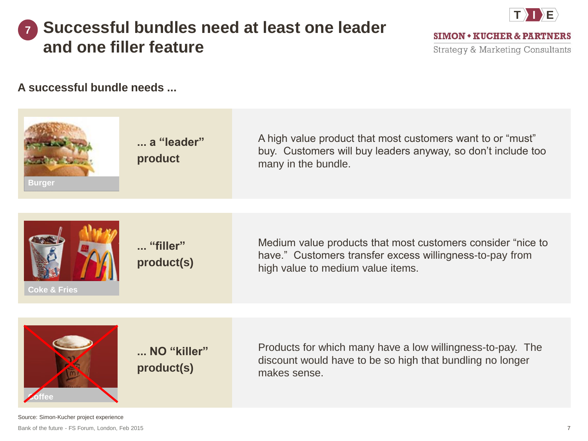### **Successful bundles need at least one leader and one filler feature 7**



**SIMON + KUCHER & PARTNERS** 

Strategy & Marketing Consultants

**A successful bundle needs ...**



Bank of the future - FS Forum, London, Feb 2015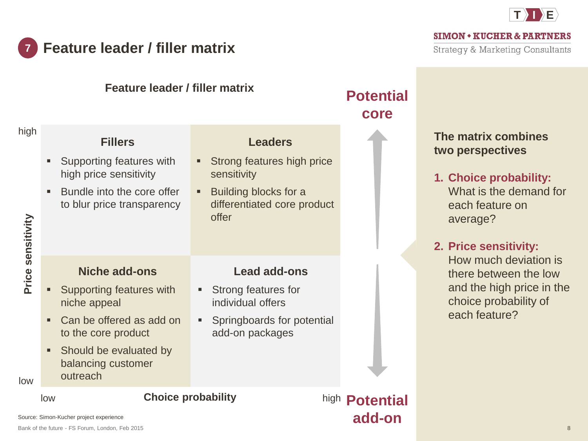

#### **Feature leader / filler matrix 7**

**SIMON + KUCHER & PARTNERS** 

**Strategy & Marketing Consultants** 

price in the

|                                  | <b>Feature leader / filler matrix</b>                                                |                                                                                                        |                                                                                                                                        | <b>Potential</b><br>core |                                                                                                                                                                                                                                                                              |
|----------------------------------|--------------------------------------------------------------------------------------|--------------------------------------------------------------------------------------------------------|----------------------------------------------------------------------------------------------------------------------------------------|--------------------------|------------------------------------------------------------------------------------------------------------------------------------------------------------------------------------------------------------------------------------------------------------------------------|
| high<br>Price sensitivity<br>low | ٠<br>high price sensitivity<br>$\blacksquare$                                        | <b>Fillers</b><br>Supporting features with<br>Bundle into the core offer<br>to blur price transparency | <b>Leaders</b><br>Strong features high price<br>٠<br>sensitivity<br>Building blocks for a<br>٠<br>differentiated core product<br>offer |                          | The matrix combines<br>two perspectives<br>1. Choice probability:<br>What is the demand for<br>each feature on<br>average?<br>2. Price sensitivity:<br>How much deviation is<br>there between the low<br>and the high price in the<br>choice probability of<br>each feature? |
|                                  | ш<br>niche appeal<br>٠<br>to the core product<br>٠<br>balancing customer<br>outreach | <b>Niche add-ons</b><br>Supporting features with<br>Can be offered as add on<br>Should be evaluated by | <b>Lead add-ons</b><br>Strong features for<br>٠<br>individual offers<br>Springboards for potential<br>add-on packages                  |                          |                                                                                                                                                                                                                                                                              |
|                                  | <b>Choice probability</b><br>low                                                     |                                                                                                        | high <b>Potential</b>                                                                                                                  |                          |                                                                                                                                                                                                                                                                              |

**add-on**

Source: Simon-Kucher project experience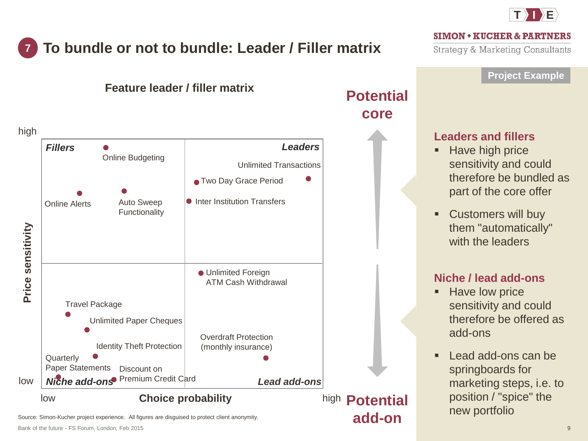

# **To bundle or not to bundle: Leader / Filler matrix**

**SIMON + KUCHER & PARTNERS** Strategy & Marketing Consultants



**add-on**

Source: Simon-Kucher project experience. All figures are disguised to protect client anonymity.

**Quarterly** 

low

low

Online Alerts

*Fillers*

 $\bullet$ 

**7**

high

**Price sensitivity**

Price sensitivity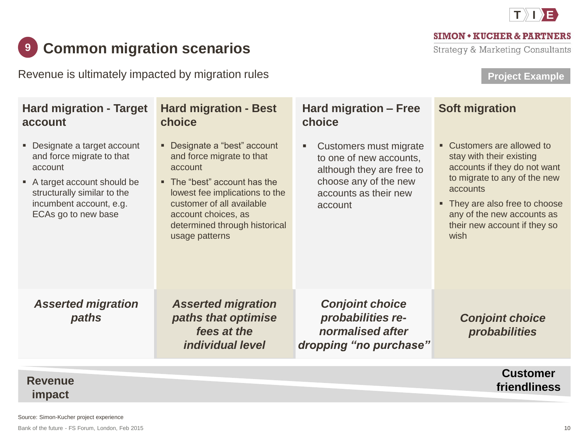

#### **SIMON • KUCHER & PARTNERS**

**Strategy & Marketing Consultants** 

# **2** Common migration scenarios

Revenue is ultimately impacted by migration rules

# **Project Example**

| <b>Hard migration - Target</b><br>account                                                                                                                                           | <b>Hard migration - Best</b><br>choice                                                                                                                                                                                                        | Hard migration - Free<br>choice                                                                                                             | <b>Soft migration</b>                                                                                                                                                                                                                      |
|-------------------------------------------------------------------------------------------------------------------------------------------------------------------------------------|-----------------------------------------------------------------------------------------------------------------------------------------------------------------------------------------------------------------------------------------------|---------------------------------------------------------------------------------------------------------------------------------------------|--------------------------------------------------------------------------------------------------------------------------------------------------------------------------------------------------------------------------------------------|
| • Designate a target account<br>and force migrate to that<br>account<br>A target account should be<br>structurally similar to the<br>incumbent account, e.g.<br>ECAs go to new base | • Designate a "best" account<br>and force migrate to that<br>account<br>• The "best" account has the<br>lowest fee implications to the<br>customer of all available<br>account choices, as<br>determined through historical<br>usage patterns | Customers must migrate<br>to one of new accounts,<br>although they are free to<br>choose any of the new<br>accounts as their new<br>account | • Customers are allowed to<br>stay with their existing<br>accounts if they do not want<br>to migrate to any of the new<br>accounts<br>• They are also free to choose<br>any of the new accounts as<br>their new account if they so<br>wish |
| <b>Asserted migration</b><br>paths                                                                                                                                                  | <b>Asserted migration</b><br>paths that optimise<br>fees at the<br><i>individual level</i>                                                                                                                                                    | <b>Conjoint choice</b><br>probabilities re-<br>normalised after<br>dropping "no purchase"                                                   | <b>Conjoint choice</b><br>probabilities                                                                                                                                                                                                    |

#### **Customer friendliness Revenue impact**

Source: Simon-Kucher project experience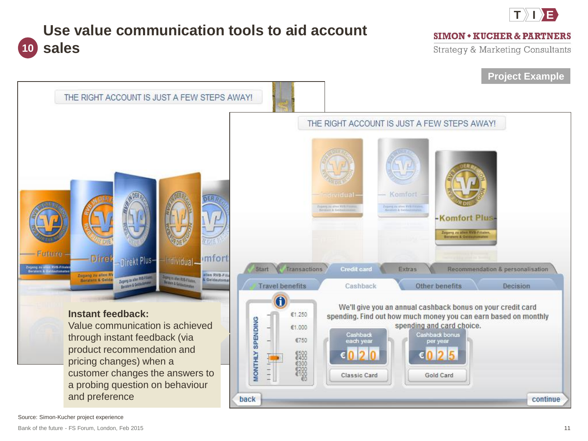

# **Use value communication tools to aid account 10 sales**

#### **SIMON • KUCHER & PARTNERS**

Strategy & Marketing Consultants

## **Project Example**



Source: Simon-Kucher project experience